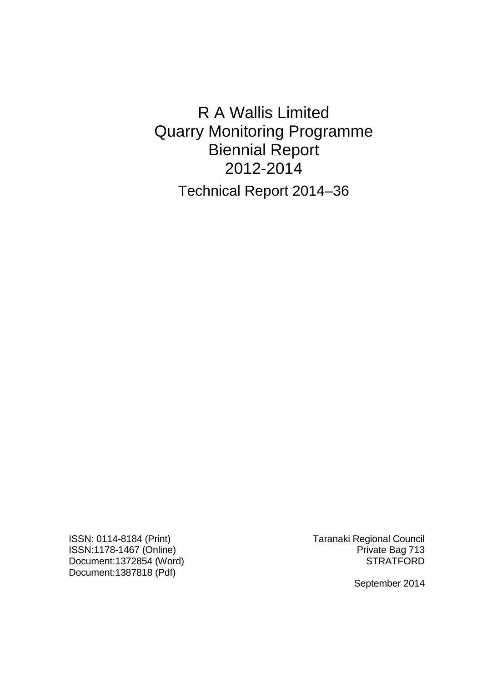R A Wallis Limited Quarry Monitoring Programme Biennial Report 2012-2014 Technical Report 2014–36

ISSN: 0114-8184 (Print) Taranaki Regional Council ISSN:1178-1467 (Online)<br>Document:1372854 (Word) Private Bag 713 Document:1372854 (Word) Document:1387818 (Pdf)

September 2014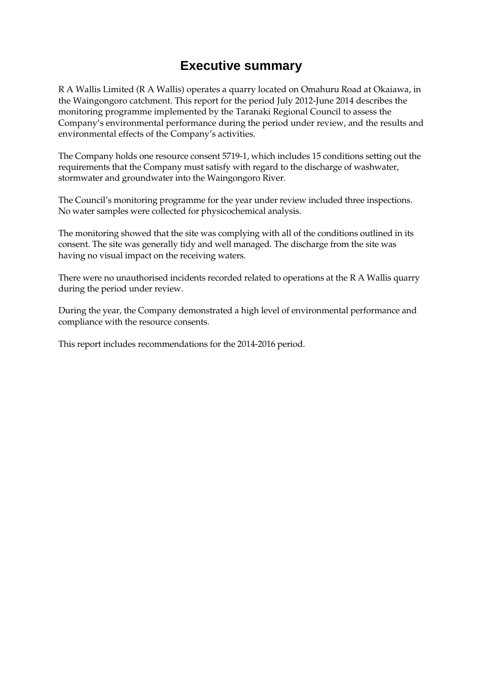### **Executive summary**

R A Wallis Limited (R A Wallis) operates a quarry located on Omahuru Road at Okaiawa, in the Waingongoro catchment. This report for the period July 2012-June 2014 describes the monitoring programme implemented by the Taranaki Regional Council to assess the Company's environmental performance during the period under review, and the results and environmental effects of the Company's activities.

The Company holds one resource consent 5719-1, which includes 15 conditions setting out the requirements that the Company must satisfy with regard to the discharge of washwater, stormwater and groundwater into the Waingongoro River.

The Council's monitoring programme for the year under review included three inspections. No water samples were collected for physicochemical analysis.

The monitoring showed that the site was complying with all of the conditions outlined in its consent. The site was generally tidy and well managed. The discharge from the site was having no visual impact on the receiving waters.

There were no unauthorised incidents recorded related to operations at the R A Wallis quarry during the period under review.

During the year, the Company demonstrated a high level of environmental performance and compliance with the resource consents.

This report includes recommendations for the 2014-2016 period.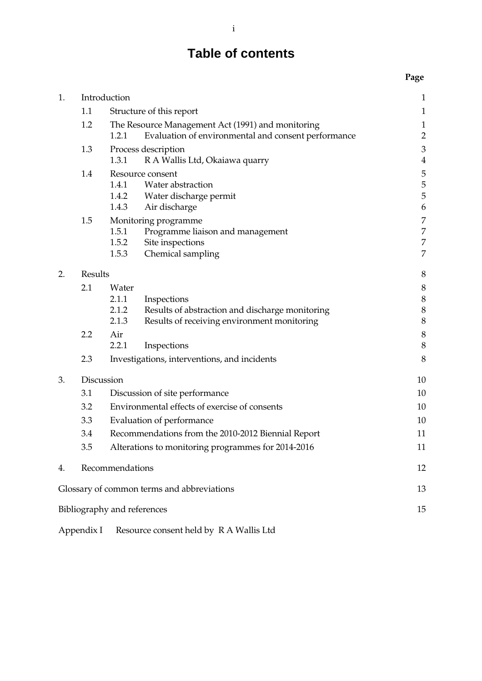# **Table of contents**

#### **Page**

| 1. |                | Introduction                                       |                                                     | $\mathbf{1}$     |
|----|----------------|----------------------------------------------------|-----------------------------------------------------|------------------|
|    | 1.1            | Structure of this report                           |                                                     |                  |
|    | 1.2            | The Resource Management Act (1991) and monitoring  |                                                     | $\mathbf{1}$     |
|    |                | 1.2.1                                              | Evaluation of environmental and consent performance | $\overline{2}$   |
|    | 1.3            |                                                    | Process description                                 | $\mathfrak{Z}$   |
|    |                | 1.3.1                                              | R A Wallis Ltd, Okaiawa quarry                      | $\overline{4}$   |
|    | 1.4            |                                                    | Resource consent                                    | 5                |
|    |                | 1.4.1                                              | Water abstraction                                   | 5                |
|    |                | 1.4.2                                              | Water discharge permit                              | 5                |
|    |                | 1.4.3                                              | Air discharge                                       | 6                |
|    | 1.5            |                                                    | Monitoring programme                                | 7                |
|    |                | 1.5.1                                              | Programme liaison and management                    | 7                |
|    |                | 1.5.2<br>1.5.3                                     | Site inspections<br>Chemical sampling               | 7<br>7           |
|    |                |                                                    |                                                     |                  |
| 2. | <b>Results</b> |                                                    |                                                     | 8                |
|    | 2.1            | Water                                              |                                                     | $\boldsymbol{8}$ |
|    |                | 2.1.1                                              | Inspections                                         | $\,$ 8 $\,$      |
|    |                | 2.1.2                                              | Results of abstraction and discharge monitoring     | 8                |
|    |                | 2.1.3                                              | Results of receiving environment monitoring         | $\boldsymbol{8}$ |
|    | 2.2            | Air                                                |                                                     | 8                |
|    |                | 2.2.1                                              | Inspections                                         | $\,8\,$          |
|    | 2.3            | Investigations, interventions, and incidents       |                                                     | 8                |
| 3. | Discussion     |                                                    | 10                                                  |                  |
|    | 3.1            | Discussion of site performance                     |                                                     | 10               |
|    | 3.2            | Environmental effects of exercise of consents      |                                                     | 10               |
|    | 3.3            | Evaluation of performance                          |                                                     | 10               |
|    | 3.4            | Recommendations from the 2010-2012 Biennial Report |                                                     | 11               |
|    | 3.5            | Alterations to monitoring programmes for 2014-2016 |                                                     | 11               |
| 4. |                | Recommendations                                    |                                                     | 12               |
|    |                |                                                    | Glossary of common terms and abbreviations          | 13               |
|    |                | Bibliography and references                        |                                                     | 15               |
|    |                |                                                    |                                                     |                  |

Appendix I Resource consent held by R A Wallis Ltd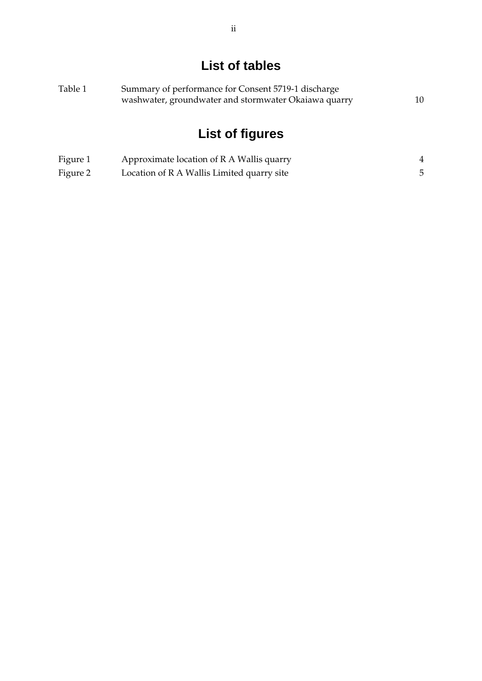## **List of tables**

| Table 1 | Summary of performance for Consent 5719-1 discharge  |    |  |
|---------|------------------------------------------------------|----|--|
|         | washwater, groundwater and stormwater Okaiawa quarry | 10 |  |

# **List of figures**

| Figure 1 | Approximate location of R A Wallis quarry  |  |
|----------|--------------------------------------------|--|
| Figure 2 | Location of R A Wallis Limited quarry site |  |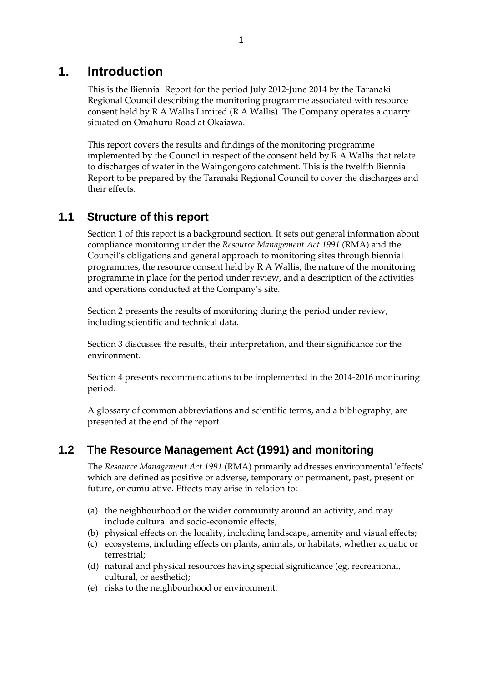### **1. Introduction**

This is the Biennial Report for the period July 2012-June 2014 by the Taranaki Regional Council describing the monitoring programme associated with resource consent held by R A Wallis Limited (R A Wallis). The Company operates a quarry situated on Omahuru Road at Okaiawa.

This report covers the results and findings of the monitoring programme implemented by the Council in respect of the consent held by R A Wallis that relate to discharges of water in the Waingongoro catchment. This is the twelfth Biennial Report to be prepared by the Taranaki Regional Council to cover the discharges and their effects.

### **1.1 Structure of this report**

Section 1 of this report is a background section. It sets out general information about compliance monitoring under the *Resource Management Act 1991* (RMA) and the Council's obligations and general approach to monitoring sites through biennial programmes, the resource consent held by R A Wallis, the nature of the monitoring programme in place for the period under review, and a description of the activities and operations conducted at the Company's site.

Section 2 presents the results of monitoring during the period under review, including scientific and technical data.

Section 3 discusses the results, their interpretation, and their significance for the environment.

Section 4 presents recommendations to be implemented in the 2014-2016 monitoring period.

A glossary of common abbreviations and scientific terms, and a bibliography, are presented at the end of the report.

### **1.2 The Resource Management Act (1991) and monitoring**

The *Resource Management Act 1991* (RMA) primarily addresses environmental 'effects' which are defined as positive or adverse, temporary or permanent, past, present or future, or cumulative. Effects may arise in relation to:

- (a) the neighbourhood or the wider community around an activity, and may include cultural and socio-economic effects;
- (b) physical effects on the locality, including landscape, amenity and visual effects;
- (c) ecosystems, including effects on plants, animals, or habitats, whether aquatic or terrestrial;
- (d) natural and physical resources having special significance (eg, recreational, cultural, or aesthetic);
- (e) risks to the neighbourhood or environment.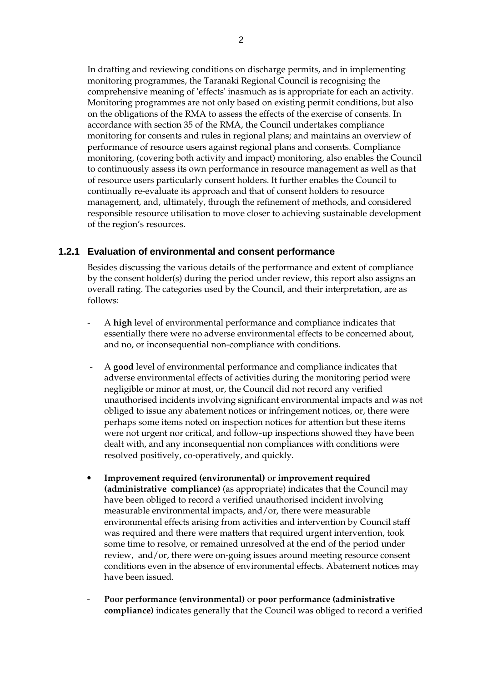In drafting and reviewing conditions on discharge permits, and in implementing monitoring programmes, the Taranaki Regional Council is recognising the comprehensive meaning of 'effects' inasmuch as is appropriate for each an activity. Monitoring programmes are not only based on existing permit conditions, but also on the obligations of the RMA to assess the effects of the exercise of consents. In accordance with section 35 of the RMA, the Council undertakes compliance monitoring for consents and rules in regional plans; and maintains an overview of performance of resource users against regional plans and consents. Compliance monitoring, (covering both activity and impact) monitoring, also enables the Council to continuously assess its own performance in resource management as well as that of resource users particularly consent holders. It further enables the Council to continually re-evaluate its approach and that of consent holders to resource management, and, ultimately, through the refinement of methods, and considered responsible resource utilisation to move closer to achieving sustainable development of the region's resources.

#### **1.2.1 Evaluation of environmental and consent performance**

Besides discussing the various details of the performance and extent of compliance by the consent holder(s) during the period under review, this report also assigns an overall rating. The categories used by the Council, and their interpretation, are as follows:

- A **high** level of environmental performance and compliance indicates that essentially there were no adverse environmental effects to be concerned about, and no, or inconsequential non-compliance with conditions.
- A **good** level of environmental performance and compliance indicates that adverse environmental effects of activities during the monitoring period were negligible or minor at most, or, the Council did not record any verified unauthorised incidents involving significant environmental impacts and was not obliged to issue any abatement notices or infringement notices, or, there were perhaps some items noted on inspection notices for attention but these items were not urgent nor critical, and follow-up inspections showed they have been dealt with, and any inconsequential non compliances with conditions were resolved positively, co-operatively, and quickly.
- **Improvement required (environmental)** or **improvement required (administrative compliance)** (as appropriate) indicates that the Council may have been obliged to record a verified unauthorised incident involving measurable environmental impacts, and/or, there were measurable environmental effects arising from activities and intervention by Council staff was required and there were matters that required urgent intervention, took some time to resolve, or remained unresolved at the end of the period under review, and/or, there were on-going issues around meeting resource consent conditions even in the absence of environmental effects. Abatement notices may have been issued.
- **Poor performance (environmental)** or **poor performance (administrative compliance)** indicates generally that the Council was obliged to record a verified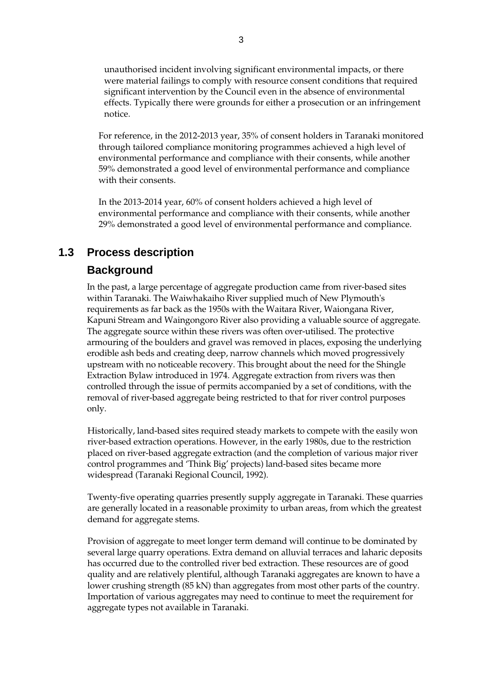unauthorised incident involving significant environmental impacts, or there were material failings to comply with resource consent conditions that required significant intervention by the Council even in the absence of environmental effects. Typically there were grounds for either a prosecution or an infringement notice.

For reference, in the 2012-2013 year, 35% of consent holders in Taranaki monitored through tailored compliance monitoring programmes achieved a high level of environmental performance and compliance with their consents, while another 59% demonstrated a good level of environmental performance and compliance with their consents.

In the 2013-2014 year, 60% of consent holders achieved a high level of environmental performance and compliance with their consents, while another 29% demonstrated a good level of environmental performance and compliance.

### **1.3 Process description**

#### **Background**

In the past, a large percentage of aggregate production came from river-based sites within Taranaki. The Waiwhakaiho River supplied much of New Plymouth's requirements as far back as the 1950s with the Waitara River, Waiongana River, Kapuni Stream and Waingongoro River also providing a valuable source of aggregate. The aggregate source within these rivers was often over-utilised. The protective armouring of the boulders and gravel was removed in places, exposing the underlying erodible ash beds and creating deep, narrow channels which moved progressively upstream with no noticeable recovery. This brought about the need for the Shingle Extraction Bylaw introduced in 1974. Aggregate extraction from rivers was then controlled through the issue of permits accompanied by a set of conditions, with the removal of river-based aggregate being restricted to that for river control purposes only.

Historically, land-based sites required steady markets to compete with the easily won river-based extraction operations. However, in the early 1980s, due to the restriction placed on river-based aggregate extraction (and the completion of various major river control programmes and 'Think Big' projects) land-based sites became more widespread (Taranaki Regional Council, 1992).

Twenty-five operating quarries presently supply aggregate in Taranaki. These quarries are generally located in a reasonable proximity to urban areas, from which the greatest demand for aggregate stems.

Provision of aggregate to meet longer term demand will continue to be dominated by several large quarry operations. Extra demand on alluvial terraces and laharic deposits has occurred due to the controlled river bed extraction. These resources are of good quality and are relatively plentiful, although Taranaki aggregates are known to have a lower crushing strength (85 kN) than aggregates from most other parts of the country. Importation of various aggregates may need to continue to meet the requirement for aggregate types not available in Taranaki.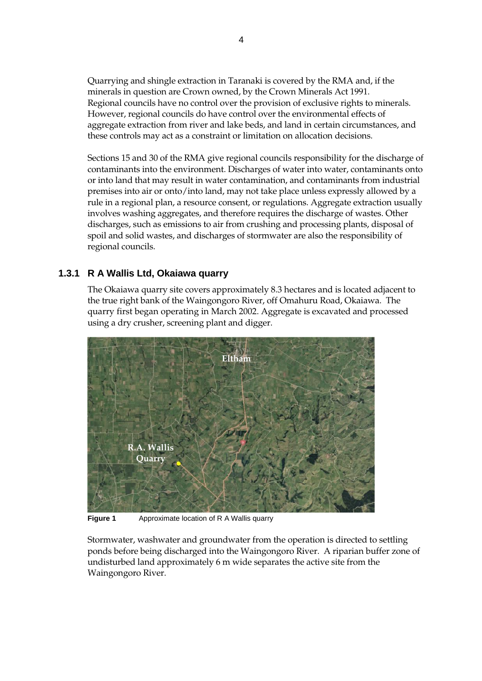Quarrying and shingle extraction in Taranaki is covered by the RMA and, if the minerals in question are Crown owned, by the Crown Minerals Act 1991. Regional councils have no control over the provision of exclusive rights to minerals. However, regional councils do have control over the environmental effects of aggregate extraction from river and lake beds, and land in certain circumstances, and these controls may act as a constraint or limitation on allocation decisions.

Sections 15 and 30 of the RMA give regional councils responsibility for the discharge of contaminants into the environment. Discharges of water into water, contaminants onto or into land that may result in water contamination, and contaminants from industrial premises into air or onto/into land, may not take place unless expressly allowed by a rule in a regional plan, a resource consent, or regulations. Aggregate extraction usually involves washing aggregates, and therefore requires the discharge of wastes. Other discharges, such as emissions to air from crushing and processing plants, disposal of spoil and solid wastes, and discharges of stormwater are also the responsibility of regional councils.

#### **1.3.1 R A Wallis Ltd, Okaiawa quarry**

The Okaiawa quarry site covers approximately 8.3 hectares and is located adjacent to the true right bank of the Waingongoro River, off Omahuru Road, Okaiawa. The quarry first began operating in March 2002. Aggregate is excavated and processed using a dry crusher, screening plant and digger.



**Figure 1** Approximate location of R A Wallis quarry

Stormwater, washwater and groundwater from the operation is directed to settling ponds before being discharged into the Waingongoro River. A riparian buffer zone of undisturbed land approximately 6 m wide separates the active site from the Waingongoro River.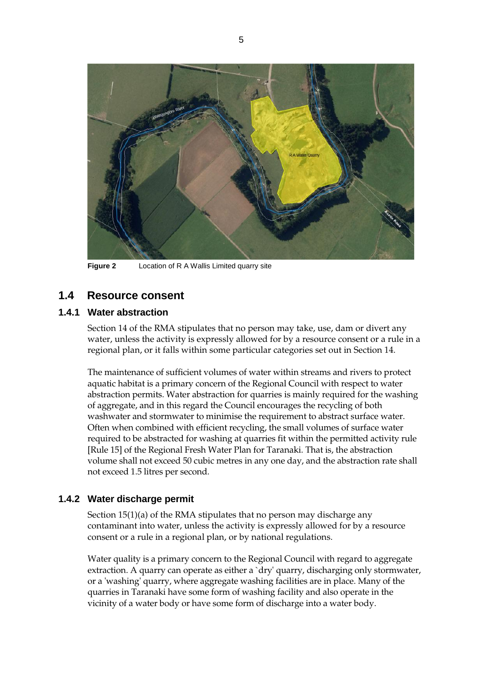

**Figure 2** Location of R A Wallis Limited quarry site

### **1.4 Resource consent**

#### **1.4.1 Water abstraction**

Section 14 of the RMA stipulates that no person may take, use, dam or divert any water, unless the activity is expressly allowed for by a resource consent or a rule in a regional plan, or it falls within some particular categories set out in Section 14.

The maintenance of sufficient volumes of water within streams and rivers to protect aquatic habitat is a primary concern of the Regional Council with respect to water abstraction permits. Water abstraction for quarries is mainly required for the washing of aggregate, and in this regard the Council encourages the recycling of both washwater and stormwater to minimise the requirement to abstract surface water. Often when combined with efficient recycling, the small volumes of surface water required to be abstracted for washing at quarries fit within the permitted activity rule [Rule 15] of the Regional Fresh Water Plan for Taranaki. That is, the abstraction volume shall not exceed 50 cubic metres in any one day, and the abstraction rate shall not exceed 1.5 litres per second.

#### **1.4.2 Water discharge permit**

Section 15(1)(a) of the RMA stipulates that no person may discharge any contaminant into water, unless the activity is expressly allowed for by a resource consent or a rule in a regional plan, or by national regulations.

 Water quality is a primary concern to the Regional Council with regard to aggregate extraction. A quarry can operate as either a `dry' quarry, discharging only stormwater, or a 'washing' quarry, where aggregate washing facilities are in place. Many of the quarries in Taranaki have some form of washing facility and also operate in the vicinity of a water body or have some form of discharge into a water body.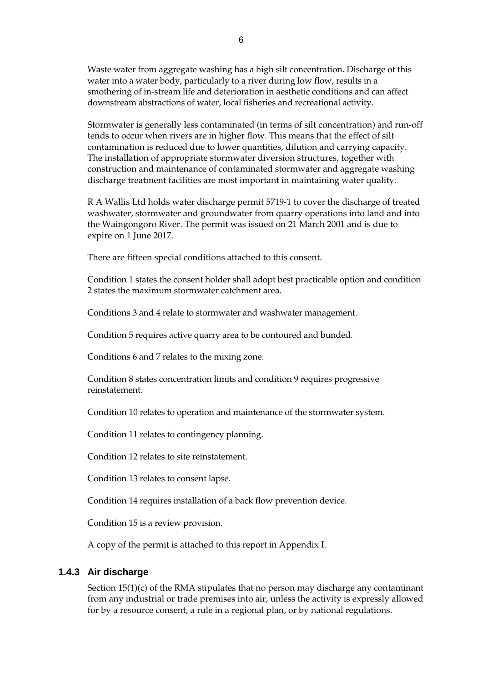Waste water from aggregate washing has a high silt concentration. Discharge of this water into a water body, particularly to a river during low flow, results in a smothering of in-stream life and deterioration in aesthetic conditions and can affect downstream abstractions of water, local fisheries and recreational activity.

Stormwater is generally less contaminated (in terms of silt concentration) and run-off tends to occur when rivers are in higher flow. This means that the effect of silt contamination is reduced due to lower quantities, dilution and carrying capacity. The installation of appropriate stormwater diversion structures, together with construction and maintenance of contaminated stormwater and aggregate washing discharge treatment facilities are most important in maintaining water quality.

R A Wallis Ltd holds water discharge permit 5719-1 to cover the discharge of treated washwater, stormwater and groundwater from quarry operations into land and into the Waingongoro River. The permit was issued on 21 March 2001 and is due to expire on 1 June 2017.

There are fifteen special conditions attached to this consent.

Condition 1 states the consent holder shall adopt best practicable option and condition 2 states the maximum stormwater catchment area.

Conditions 3 and 4 relate to stormwater and washwater management.

Condition 5 requires active quarry area to be contoured and bunded.

Conditions 6 and 7 relates to the mixing zone.

Condition 8 states concentration limits and condition 9 requires progressive reinstatement.

Condition 10 relates to operation and maintenance of the stormwater system.

Condition 11 relates to contingency planning.

Condition 12 relates to site reinstatement.

Condition 13 relates to consent lapse.

Condition 14 requires installation of a back flow prevention device.

Condition 15 is a review provision.

A copy of the permit is attached to this report in Appendix I.

#### **1.4.3 Air discharge**

Section 15(1)(c) of the RMA stipulates that no person may discharge any contaminant from any industrial or trade premises into air, unless the activity is expressly allowed for by a resource consent, a rule in a regional plan, or by national regulations.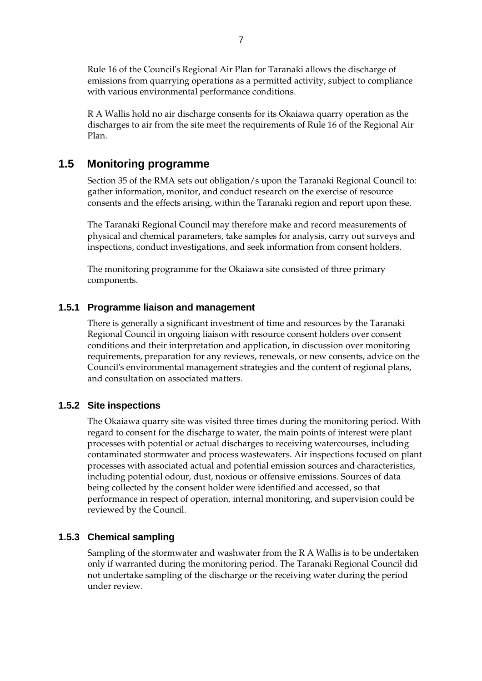Rule 16 of the Council's Regional Air Plan for Taranaki allows the discharge of emissions from quarrying operations as a permitted activity, subject to compliance with various environmental performance conditions.

R A Wallis hold no air discharge consents for its Okaiawa quarry operation as the discharges to air from the site meet the requirements of Rule 16 of the Regional Air Plan.

#### **1.5 Monitoring programme**

Section 35 of the RMA sets out obligation/s upon the Taranaki Regional Council to: gather information, monitor, and conduct research on the exercise of resource consents and the effects arising, within the Taranaki region and report upon these.

The Taranaki Regional Council may therefore make and record measurements of physical and chemical parameters, take samples for analysis, carry out surveys and inspections, conduct investigations, and seek information from consent holders.

The monitoring programme for the Okaiawa site consisted of three primary components.

#### **1.5.1 Programme liaison and management**

There is generally a significant investment of time and resources by the Taranaki Regional Council in ongoing liaison with resource consent holders over consent conditions and their interpretation and application, in discussion over monitoring requirements, preparation for any reviews, renewals, or new consents, advice on the Council's environmental management strategies and the content of regional plans, and consultation on associated matters.

#### **1.5.2 Site inspections**

The Okaiawa quarry site was visited three times during the monitoring period. With regard to consent for the discharge to water, the main points of interest were plant processes with potential or actual discharges to receiving watercourses, including contaminated stormwater and process wastewaters. Air inspections focused on plant processes with associated actual and potential emission sources and characteristics, including potential odour, dust, noxious or offensive emissions. Sources of data being collected by the consent holder were identified and accessed, so that performance in respect of operation, internal monitoring, and supervision could be reviewed by the Council.

#### **1.5.3 Chemical sampling**

Sampling of the stormwater and washwater from the R A Wallis is to be undertaken only if warranted during the monitoring period. The Taranaki Regional Council did not undertake sampling of the discharge or the receiving water during the period under review.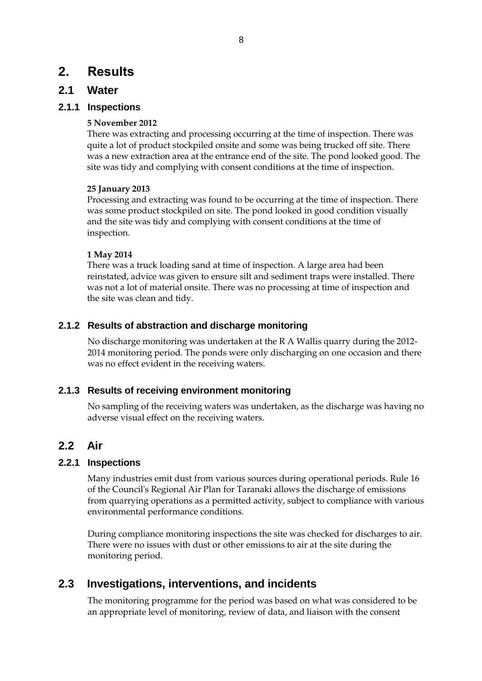### **2. Results**

#### **2.1 Water**

#### **2.1.1 Inspections**

#### **5 November 2012**

There was extracting and processing occurring at the time of inspection. There was quite a lot of product stockpiled onsite and some was being trucked off site. There was a new extraction area at the entrance end of the site. The pond looked good. The site was tidy and complying with consent conditions at the time of inspection.

#### **25 January 2013**

Processing and extracting was found to be occurring at the time of inspection. There was some product stockpiled on site. The pond looked in good condition visually and the site was tidy and complying with consent conditions at the time of inspection.

#### **1 May 2014**

There was a truck loading sand at time of inspection. A large area had been reinstated, advice was given to ensure silt and sediment traps were installed. There was not a lot of material onsite. There was no processing at time of inspection and the site was clean and tidy.

#### **2.1.2 Results of abstraction and discharge monitoring**

No discharge monitoring was undertaken at the R A Wallis quarry during the 2012- 2014 monitoring period. The ponds were only discharging on one occasion and there was no effect evident in the receiving waters.

#### **2.1.3 Results of receiving environment monitoring**

No sampling of the receiving waters was undertaken, as the discharge was having no adverse visual effect on the receiving waters.

### **2.2 Air**

#### **2.2.1 Inspections**

Many industries emit dust from various sources during operational periods. Rule 16 of the Council's Regional Air Plan for Taranaki allows the discharge of emissions from quarrying operations as a permitted activity, subject to compliance with various environmental performance conditions.

During compliance monitoring inspections the site was checked for discharges to air. There were no issues with dust or other emissions to air at the site during the monitoring period.

### **2.3 Investigations, interventions, and incidents**

The monitoring programme for the period was based on what was considered to be an appropriate level of monitoring, review of data, and liaison with the consent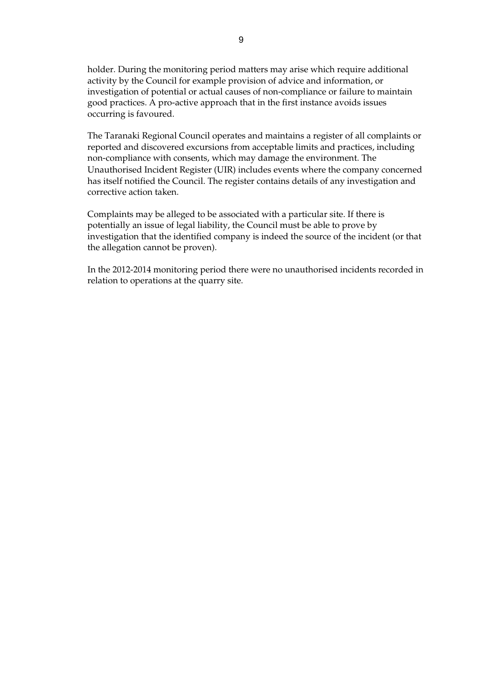holder. During the monitoring period matters may arise which require additional activity by the Council for example provision of advice and information, or investigation of potential or actual causes of non-compliance or failure to maintain good practices. A pro-active approach that in the first instance avoids issues occurring is favoured.

The Taranaki Regional Council operates and maintains a register of all complaints or reported and discovered excursions from acceptable limits and practices, including non-compliance with consents, which may damage the environment. The Unauthorised Incident Register (UIR) includes events where the company concerned has itself notified the Council. The register contains details of any investigation and corrective action taken.

Complaints may be alleged to be associated with a particular site. If there is potentially an issue of legal liability, the Council must be able to prove by investigation that the identified company is indeed the source of the incident (or that the allegation cannot be proven).

In the 2012-2014 monitoring period there were no unauthorised incidents recorded in relation to operations at the quarry site.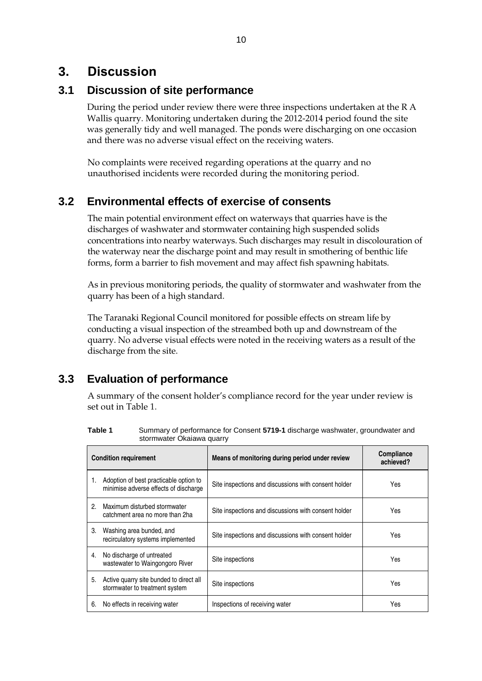### **3. Discussion**

### **3.1 Discussion of site performance**

During the period under review there were three inspections undertaken at the R A Wallis quarry. Monitoring undertaken during the 2012-2014 period found the site was generally tidy and well managed. The ponds were discharging on one occasion and there was no adverse visual effect on the receiving waters.

No complaints were received regarding operations at the quarry and no unauthorised incidents were recorded during the monitoring period.

### **3.2 Environmental effects of exercise of consents**

The main potential environment effect on waterways that quarries have is the discharges of washwater and stormwater containing high suspended solids concentrations into nearby waterways. Such discharges may result in discolouration of the waterway near the discharge point and may result in smothering of benthic life forms, form a barrier to fish movement and may affect fish spawning habitats.

As in previous monitoring periods, the quality of stormwater and washwater from the quarry has been of a high standard.

The Taranaki Regional Council monitored for possible effects on stream life by conducting a visual inspection of the streambed both up and downstream of the quarry. No adverse visual effects were noted in the receiving waters as a result of the discharge from the site.

### **3.3 Evaluation of performance**

A summary of the consent holder's compliance record for the year under review is set out in Table 1.

| Table 1 | Summary of performance for Consent 5719-1 discharge washwater, groundwater and |
|---------|--------------------------------------------------------------------------------|
|         | stormwater Okaiawa quarry                                                      |

| <b>Condition requirement</b> |                                                                                 | Means of monitoring during period under review       | <b>Compliance</b><br>achieved? |
|------------------------------|---------------------------------------------------------------------------------|------------------------------------------------------|--------------------------------|
|                              | Adoption of best practicable option to<br>minimise adverse effects of discharge | Site inspections and discussions with consent holder | Yes                            |
| 2.                           | Maximum disturbed stormwater<br>catchment area no more than 2ha                 | Site inspections and discussions with consent holder | Yes                            |
| 3.                           | Washing area bunded, and<br>recirculatory systems implemented                   | Site inspections and discussions with consent holder | Yes                            |
| 4.                           | No discharge of untreated<br>wastewater to Waingongoro River                    | Site inspections                                     | Yes                            |
| 5.                           | Active quarry site bunded to direct all<br>stormwater to treatment system       | Site inspections                                     | Yes                            |
| 6.                           | No effects in receiving water                                                   | Inspections of receiving water                       | Yes                            |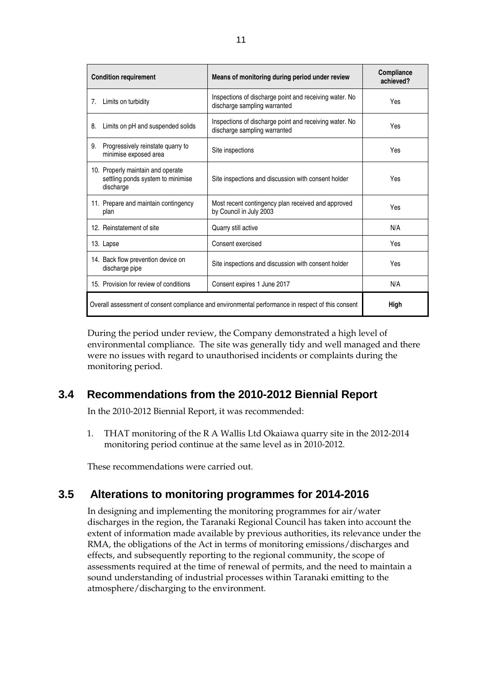| <b>Condition requirement</b>                                                                      | Means of monitoring during period under review                                         | <b>Compliance</b><br>achieved? |
|---------------------------------------------------------------------------------------------------|----------------------------------------------------------------------------------------|--------------------------------|
| Limits on turbidity<br>7.                                                                         | Inspections of discharge point and receiving water. No<br>discharge sampling warranted | Yes                            |
| Limits on pH and suspended solids<br>8.                                                           | Inspections of discharge point and receiving water. No<br>discharge sampling warranted | Yes                            |
| Progressively reinstate quarry to<br>9.<br>minimise exposed area                                  | Site inspections                                                                       | Yes                            |
| 10. Properly maintain and operate<br>settling ponds system to minimise<br>discharge               | Site inspections and discussion with consent holder                                    | Yes                            |
| 11. Prepare and maintain contingency<br>plan                                                      | Most recent contingency plan received and approved<br>by Council in July 2003          | Yes                            |
| 12. Reinstatement of site                                                                         | Quarry still active                                                                    | N/A                            |
| 13. Lapse                                                                                         | Consent exercised                                                                      | Yes                            |
| 14. Back flow prevention device on<br>discharge pipe                                              | Site inspections and discussion with consent holder                                    | Yes                            |
| 15. Provision for review of conditions                                                            | Consent expires 1 June 2017                                                            | N/A                            |
| Overall assessment of consent compliance and environmental performance in respect of this consent | High                                                                                   |                                |

During the period under review, the Company demonstrated a high level of environmental compliance. The site was generally tidy and well managed and there were no issues with regard to unauthorised incidents or complaints during the monitoring period.

### **3.4 Recommendations from the 2010-2012 Biennial Report**

In the 2010-2012 Biennial Report, it was recommended:

1. THAT monitoring of the R A Wallis Ltd Okaiawa quarry site in the 2012-2014 monitoring period continue at the same level as in 2010-2012.

These recommendations were carried out.

### **3.5 Alterations to monitoring programmes for 2014-2016**

In designing and implementing the monitoring programmes for air/water discharges in the region, the Taranaki Regional Council has taken into account the extent of information made available by previous authorities, its relevance under the RMA, the obligations of the Act in terms of monitoring emissions/discharges and effects, and subsequently reporting to the regional community, the scope of assessments required at the time of renewal of permits, and the need to maintain a sound understanding of industrial processes within Taranaki emitting to the atmosphere/discharging to the environment.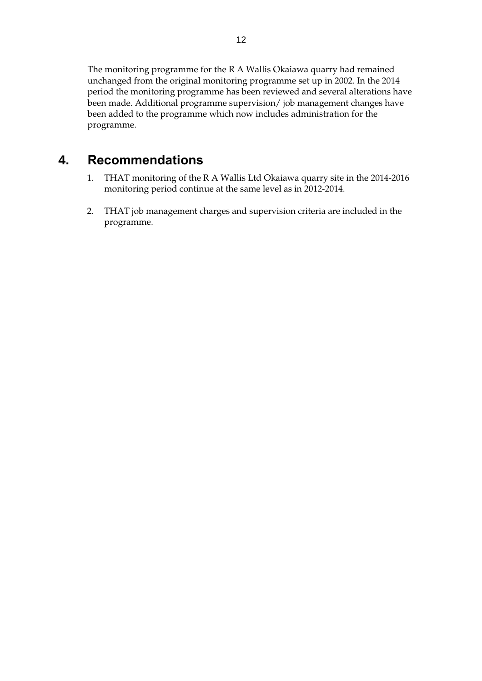The monitoring programme for the R A Wallis Okaiawa quarry had remained unchanged from the original monitoring programme set up in 2002. In the 2014 period the monitoring programme has been reviewed and several alterations have been made. Additional programme supervision/ job management changes have been added to the programme which now includes administration for the programme.

### **4. Recommendations**

- 1. THAT monitoring of the R A Wallis Ltd Okaiawa quarry site in the 2014-2016 monitoring period continue at the same level as in 2012-2014.
- 2. THAT job management charges and supervision criteria are included in the programme.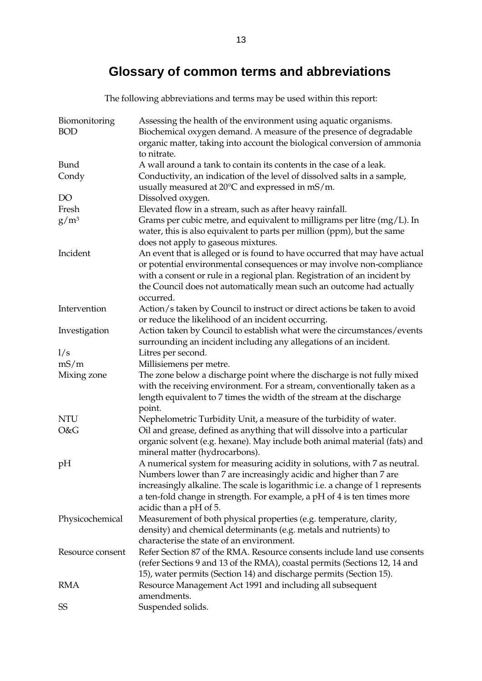# **Glossary of common terms and abbreviations**

The following abbreviations and terms may be used within this report:

| Biomonitoring<br><b>BOD</b> | Assessing the health of the environment using aquatic organisms.<br>Biochemical oxygen demand. A measure of the presence of degradable                                                                                                                                                                                                |
|-----------------------------|---------------------------------------------------------------------------------------------------------------------------------------------------------------------------------------------------------------------------------------------------------------------------------------------------------------------------------------|
|                             | organic matter, taking into account the biological conversion of ammonia<br>to nitrate.                                                                                                                                                                                                                                               |
| Bund                        | A wall around a tank to contain its contents in the case of a leak.                                                                                                                                                                                                                                                                   |
| Condy                       | Conductivity, an indication of the level of dissolved salts in a sample,<br>usually measured at 20°C and expressed in mS/m.                                                                                                                                                                                                           |
| DO                          | Dissolved oxygen.                                                                                                                                                                                                                                                                                                                     |
| Fresh                       | Elevated flow in a stream, such as after heavy rainfall.                                                                                                                                                                                                                                                                              |
| $g/m^3$                     | Grams per cubic metre, and equivalent to milligrams per litre (mg/L). In<br>water, this is also equivalent to parts per million (ppm), but the same<br>does not apply to gaseous mixtures.                                                                                                                                            |
| Incident                    | An event that is alleged or is found to have occurred that may have actual<br>or potential environmental consequences or may involve non-compliance<br>with a consent or rule in a regional plan. Registration of an incident by<br>the Council does not automatically mean such an outcome had actually<br>occurred.                 |
| Intervention                | Action/s taken by Council to instruct or direct actions be taken to avoid<br>or reduce the likelihood of an incident occurring.                                                                                                                                                                                                       |
| Investigation               | Action taken by Council to establish what were the circumstances/events<br>surrounding an incident including any allegations of an incident.                                                                                                                                                                                          |
| 1/s                         | Litres per second.                                                                                                                                                                                                                                                                                                                    |
| mS/m                        | Millisiemens per metre.                                                                                                                                                                                                                                                                                                               |
| Mixing zone                 | The zone below a discharge point where the discharge is not fully mixed<br>with the receiving environment. For a stream, conventionally taken as a<br>length equivalent to 7 times the width of the stream at the discharge<br>point.                                                                                                 |
| <b>NTU</b>                  | Nephelometric Turbidity Unit, a measure of the turbidity of water.                                                                                                                                                                                                                                                                    |
| O&G                         | Oil and grease, defined as anything that will dissolve into a particular<br>organic solvent (e.g. hexane). May include both animal material (fats) and<br>mineral matter (hydrocarbons).                                                                                                                                              |
| pH                          | A numerical system for measuring acidity in solutions, with 7 as neutral.<br>Numbers lower than 7 are increasingly acidic and higher than 7 are<br>increasingly alkaline. The scale is logarithmic i.e. a change of 1 represents<br>a ten-fold change in strength. For example, a pH of 4 is ten times more<br>acidic than a pH of 5. |
| Physicochemical             | Measurement of both physical properties (e.g. temperature, clarity,<br>density) and chemical determinants (e.g. metals and nutrients) to<br>characterise the state of an environment.                                                                                                                                                 |
| Resource consent            | Refer Section 87 of the RMA. Resource consents include land use consents<br>(refer Sections 9 and 13 of the RMA), coastal permits (Sections 12, 14 and<br>15), water permits (Section 14) and discharge permits (Section 15).                                                                                                         |
| RMA                         | Resource Management Act 1991 and including all subsequent<br>amendments.                                                                                                                                                                                                                                                              |
| SS                          | Suspended solids.                                                                                                                                                                                                                                                                                                                     |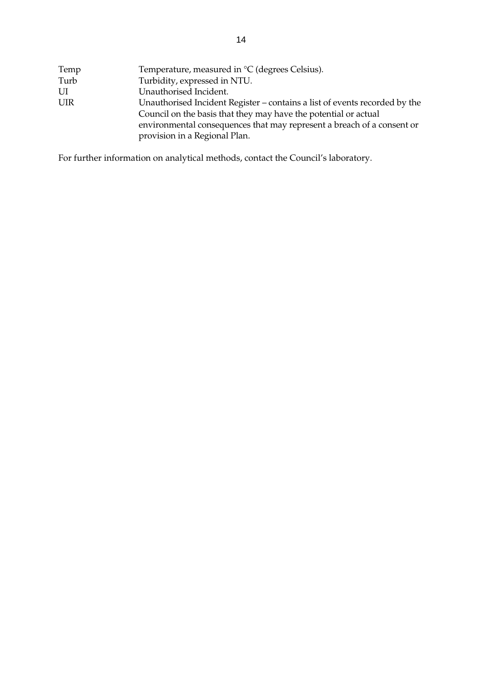| Temp       | Temperature, measured in $\mathrm{C}$ (degrees Celsius).                   |
|------------|----------------------------------------------------------------------------|
| Turb       | Turbidity, expressed in NTU.                                               |
| UI         | Unauthorised Incident.                                                     |
| <b>UIR</b> | Unauthorised Incident Register – contains a list of events recorded by the |
|            | Council on the basis that they may have the potential or actual            |
|            | environmental consequences that may represent a breach of a consent or     |
|            | provision in a Regional Plan.                                              |

For further information on analytical methods, contact the Council's laboratory.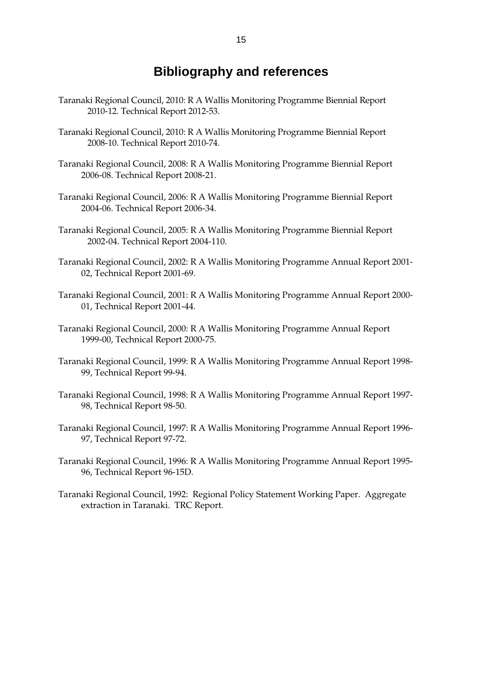### **Bibliography and references**

- Taranaki Regional Council, 2010: R A Wallis Monitoring Programme Biennial Report 2010-12. Technical Report 2012-53.
- Taranaki Regional Council, 2010: R A Wallis Monitoring Programme Biennial Report 2008-10. Technical Report 2010-74.
- Taranaki Regional Council, 2008: R A Wallis Monitoring Programme Biennial Report 2006-08. Technical Report 2008-21.
- Taranaki Regional Council, 2006: R A Wallis Monitoring Programme Biennial Report 2004-06. Technical Report 2006-34.
- Taranaki Regional Council, 2005: R A Wallis Monitoring Programme Biennial Report 2002-04. Technical Report 2004-110.
- Taranaki Regional Council, 2002: R A Wallis Monitoring Programme Annual Report 2001- 02, Technical Report 2001-69.
- Taranaki Regional Council, 2001: R A Wallis Monitoring Programme Annual Report 2000- 01, Technical Report 2001-44.
- Taranaki Regional Council, 2000: R A Wallis Monitoring Programme Annual Report 1999-00, Technical Report 2000-75.
- Taranaki Regional Council, 1999: R A Wallis Monitoring Programme Annual Report 1998- 99, Technical Report 99-94.
- Taranaki Regional Council, 1998: R A Wallis Monitoring Programme Annual Report 1997- 98, Technical Report 98-50.
- Taranaki Regional Council, 1997: R A Wallis Monitoring Programme Annual Report 1996- 97, Technical Report 97-72.
- Taranaki Regional Council, 1996: R A Wallis Monitoring Programme Annual Report 1995- 96, Technical Report 96-15D.
- Taranaki Regional Council, 1992: Regional Policy Statement Working Paper. Aggregate extraction in Taranaki. TRC Report.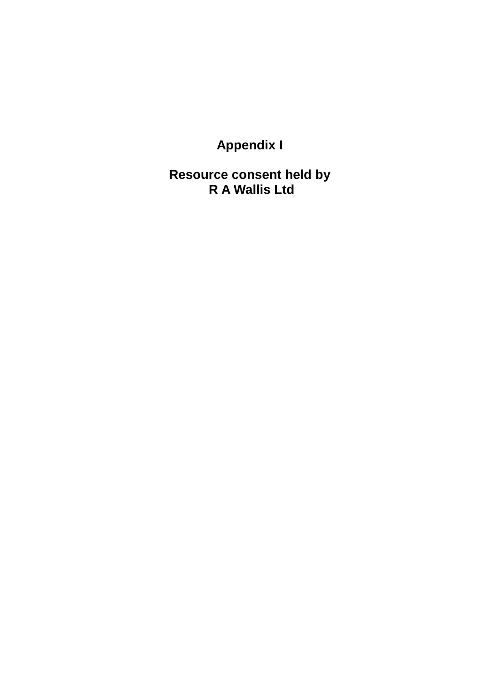**Appendix I** 

**Resource consent held by R A Wallis Ltd**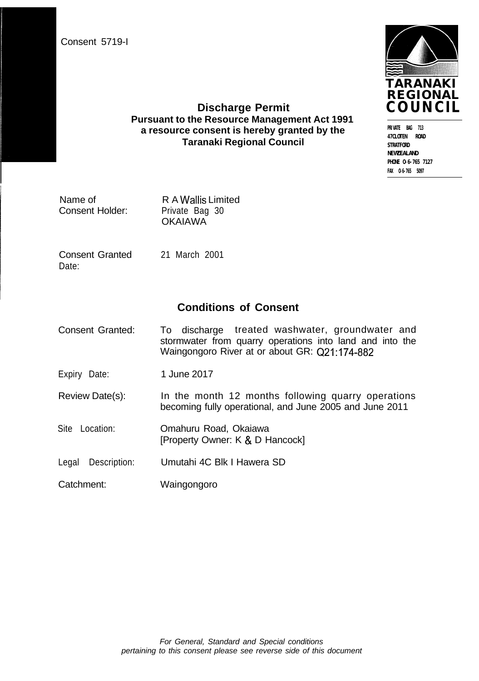Consent 5719-I



**PRIVATE BAG 713 47CLOTEN ROAD STRATFORD NEWZEALAND PHONE O-6-765 7127 FAX O-6-765 5097**

#### **Discharge Permit Pursuant to the Resource Management Act 1991 a resource consent is hereby granted by the Taranaki Regional Council**

| Name of         | R A Wallis Limited |
|-----------------|--------------------|
| Consent Holder: | Private Bag 30     |
|                 | <b>OKAIAWA</b>     |

Consent Granted Date:

21 March 2001

### **Conditions of Consent**

- Consent Granted: To discharge treated washwater, groundwater and stormwater from quarry operations into land and into the Waingongoro River at or about GR: Q21:174-882
- Expiry Date: 1 June 2017
- Review Date(s): In the month 12 months following quarry operations becoming fully operational, and June 2005 and June 2011
- Site Location: Omahuru Road, Okaiawa [Property Owner: K & D Hancock]
- Legal Description: Umutahi 4C Blk I Hawera SD
- Catchment: Waingongoro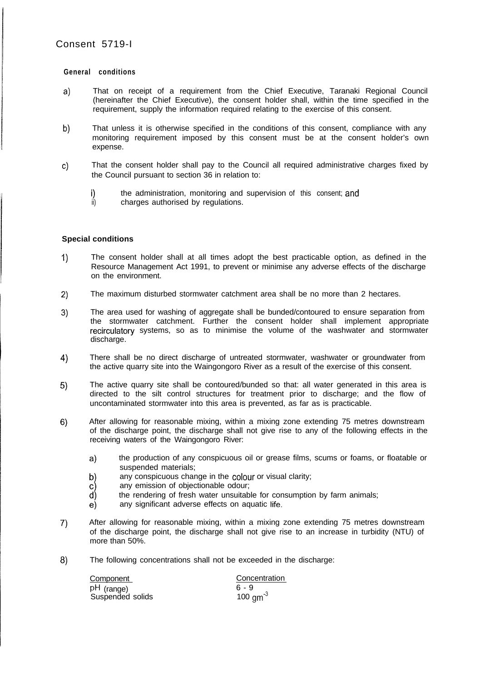#### **General conditions**

- a) That on receipt of a requirement from the Chief Executive, Taranaki Regional Council (hereinafter the Chief Executive), the consent holder shall, within the time specified in the requirement, supply the information required relating to the exercise of this consent.
- b) That unless it is otherwise specified in the conditions of this consent, compliance with any monitoring requirement imposed by this consent must be at the consent holder's own expense.
- c) That the consent holder shall pay to the Council all required administrative charges fixed by the Council pursuant to section 36 in relation to:
	- i) the administration, monitoring and supervision of this consent;
	- ii) charges authorised by regulations.

#### **Special conditions**

- 1) The consent holder shall at all times adopt the best practicable option, as defined in the Resource Management Act 1991, to prevent or minimise any adverse effects of the discharge on the environment.
- 2) The maximum disturbed stormwater catchment area shall be no more than 2 hectares.
- 3) The area used for washing of aggregate shall be bunded/contoured to ensure separation from the stormwater catchment. Further the consent holder shall implement appropriate recirculatory systems, so as to minimise the volume of the washwater and stormwater discharge.
- 4 There shall be no direct discharge of untreated stormwater, washwater or groundwater from the active quarry site into the Waingongoro River as a result of the exercise of this consent.
- 5) The active quarry site shall be contoured/bunded so that: all water generated in this area is directed to the silt control structures for treatment prior to discharge; and the flow of uncontaminated stormwater into this area is prevented, as far as is practicable.
- 6) After allowing for reasonable mixing, within a mixing zone extending 75 metres downstream of the discharge point, the discharge shall not give rise to any of the following effects in the receiving waters of the Waingongoro River:
	- a) the production of any conspicuous oil or grease films, scums or foams, or floatable or suspended materials;
	- b) any conspicuous change in the colour or visual clarity;<br>c) any emission of objectionable odour:
	- c) any emission of objectionable odour;<br>d) the rendering of fresh water unsuitab
	- d) the rendering of fresh water unsuitable for consumption by farm animals;<br>e) any significant adverse effects on aquatic life.
	- any significant adverse effects on aquatic life.
- 7) After allowing for reasonable mixing, within a mixing zone extending 75 metres downstream of the discharge point, the discharge shall not give rise to an increase in turbidity (NTU) of more than 50%.
- 8) The following concentrations shall not be exceeded in the discharge:

| Component        | Concentration        |
|------------------|----------------------|
| pH (range)       | 6 - 9                |
| Suspended solids | 100 $\text{cm}^{-3}$ |